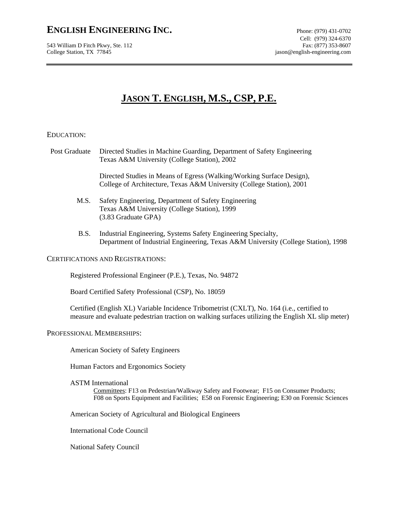## **ENGLISH ENGINEERING INC.** Phone: (979) 431-0702

543 William D Fitch Pkwy, Ste. 112 College Station, TX 77845 jason@english-engineering.com

# **JASON T. ENGLISH, M.S., CSP, P.E.**

## EDUCATION:

 Post Graduate Directed Studies in Machine Guarding, Department of Safety Engineering Texas A&M University (College Station), 2002

> Directed Studies in Means of Egress (Walking/Working Surface Design), College of Architecture, Texas A&M University (College Station), 2001

- M.S. Safety Engineering, Department of Safety Engineering Texas A&M University (College Station), 1999 (3.83 Graduate GPA)
- B.S. Industrial Engineering, Systems Safety Engineering Specialty, Department of Industrial Engineering, Texas A&M University (College Station), 1998

## CERTIFICATIONS AND REGISTRATIONS:

Registered Professional Engineer (P.E.), Texas, No. 94872

Board Certified Safety Professional (CSP), No. 18059

Certified (English XL) Variable Incidence Tribometrist (CXLT), No. 164 (i.e., certified to measure and evaluate pedestrian traction on walking surfaces utilizing the English XL slip meter)

## PROFESSIONAL MEMBERSHIPS:

American Society of Safety Engineers

Human Factors and Ergonomics Society

#### ASTM International

Committees: F13 on Pedestrian/Walkway Safety and Footwear; F15 on Consumer Products; F08 on Sports Equipment and Facilities; E58 on Forensic Engineering; E30 on Forensic Sciences

American Society of Agricultural and Biological Engineers

International Code Council

National Safety Council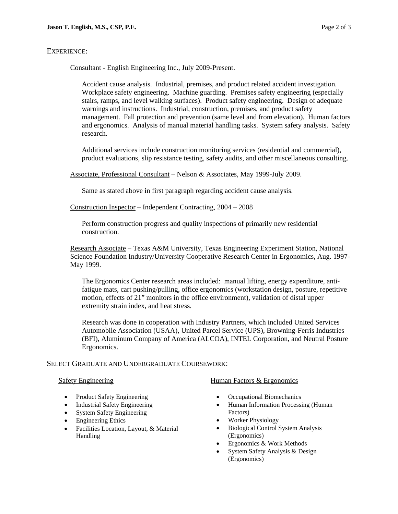## EXPERIENCE:

Consultant - English Engineering Inc., July 2009-Present.

Accident cause analysis. Industrial, premises, and product related accident investigation. Workplace safety engineering. Machine guarding. Premises safety engineering (especially stairs, ramps, and level walking surfaces). Product safety engineering. Design of adequate warnings and instructions. Industrial, construction, premises, and product safety management. Fall protection and prevention (same level and from elevation). Human factors and ergonomics. Analysis of manual material handling tasks. System safety analysis. Safety research.

Additional services include construction monitoring services (residential and commercial), product evaluations, slip resistance testing, safety audits, and other miscellaneous consulting.

Associate, Professional Consultant – Nelson & Associates, May 1999-July 2009.

Same as stated above in first paragraph regarding accident cause analysis.

Construction Inspector – Independent Contracting, 2004 – 2008

Perform construction progress and quality inspections of primarily new residential construction.

Research Associate – Texas A&M University, Texas Engineering Experiment Station, National Science Foundation Industry/University Cooperative Research Center in Ergonomics, Aug. 1997- May 1999.

The Ergonomics Center research areas included: manual lifting, energy expenditure, antifatigue mats, cart pushing/pulling, office ergonomics (workstation design, posture, repetitive motion, effects of 21" monitors in the office environment), validation of distal upper extremity strain index, and heat stress.

Research was done in cooperation with Industry Partners, which included United Services Automobile Association (USAA), United Parcel Service (UPS), Browning-Ferris Industries (BFI), Aluminum Company of America (ALCOA), INTEL Corporation, and Neutral Posture Ergonomics.

## SELECT GRADUATE AND UNDERGRADUATE COURSEWORK:

#### Safety Engineering

- Product Safety Engineering
- Industrial Safety Engineering
- System Safety Engineering
- Engineering Ethics
- Facilities Location, Layout, & Material Handling

#### Human Factors & Ergonomics

- Occupational Biomechanics
- Human Information Processing (Human Factors)
- Worker Physiology
- Biological Control System Analysis (Ergonomics)
- Ergonomics & Work Methods
- System Safety Analysis & Design (Ergonomics)